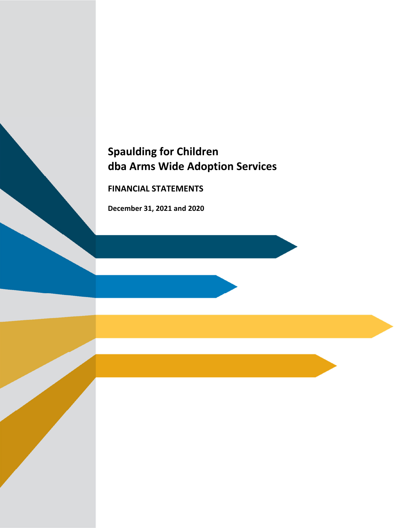# **Spaulding for Children dba Arms Wide Adoption Services**

**FINANCIAL STATEMENTS**

**December 31, 2021 and 2020**

the control of the control of the control of the control of the control of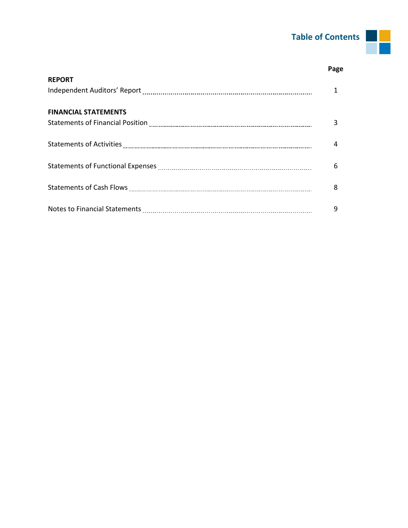### **Table of Contents**

|                             | Page |
|-----------------------------|------|
| <b>REPORT</b>               |      |
|                             |      |
| <b>FINANCIAL STATEMENTS</b> |      |
|                             | 3    |
|                             |      |
|                             | 4    |
|                             |      |
|                             | 6    |
|                             |      |
|                             | 8    |
|                             |      |
|                             | 9    |

 $\mathcal{L}_{\mathcal{A}}$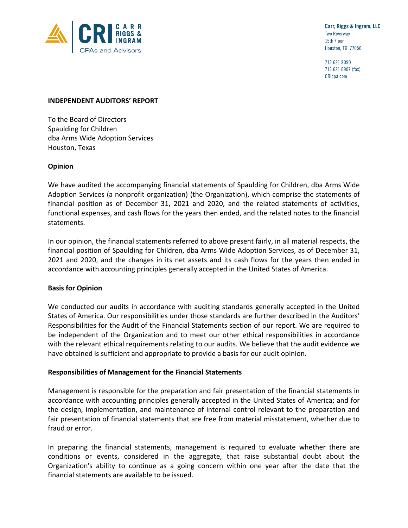

Carr, Riggs & Ingram, LLC **Two Riverway** 15th Floor Houston, TX 77056

713.621.8090 713.621.6907 (fax) CRIcpa.com

#### **INDEPENDENT AUDITORS' REPORT**

To the Board of Directors Spaulding for Children dba Arms Wide Adoption Services Houston, Texas

#### **Opinion**

We have audited the accompanying financial statements of Spaulding for Children, dba Arms Wide Adoption Services (a nonprofit organization) (the Organization), which comprise the statements of financial position as of December 31, 2021 and 2020, and the related statements of activities, functional expenses, and cash flows for the years then ended, and the related notes to the financial statements.

In our opinion, the financial statements referred to above present fairly, in all material respects, the financial position of Spaulding for Children, dba Arms Wide Adoption Services, as of December 31, 2021 and 2020, and the changes in its net assets and its cash flows for the years then ended in accordance with accounting principles generally accepted in the United States of America.

#### **Basis for Opinion**

We conducted our audits in accordance with auditing standards generally accepted in the United States of America. Our responsibilities under those standards are further described in the Auditors' Responsibilities for the Audit of the Financial Statements section of our report. We are required to be independent of the Organization and to meet our other ethical responsibilities in accordance with the relevant ethical requirements relating to our audits. We believe that the audit evidence we have obtained is sufficient and appropriate to provide a basis for our audit opinion.

#### **Responsibilities of Management for the Financial Statements**

Management is responsible for the preparation and fair presentation of the financial statements in accordance with accounting principles generally accepted in the United States of America; and for the design, implementation, and maintenance of internal control relevant to the preparation and fair presentation of financial statements that are free from material misstatement, whether due to fraud or error.

In preparing the financial statements, management is required to evaluate whether there are conditions or events, considered in the aggregate, that raise substantial doubt about the Organization's ability to continue as a going concern within one year after the date that the financial statements are available to be issued.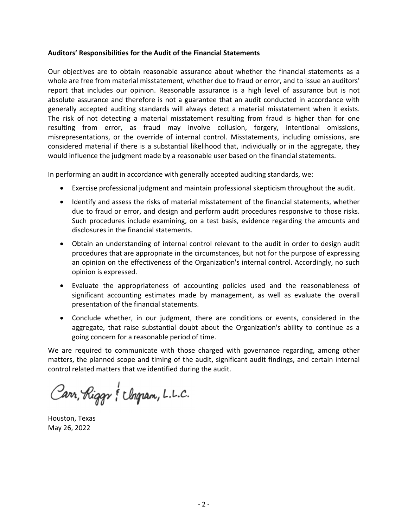#### **Auditors' Responsibilities for the Audit of the Financial Statements**

Our objectives are to obtain reasonable assurance about whether the financial statements as a whole are free from material misstatement, whether due to fraud or error, and to issue an auditors' report that includes our opinion. Reasonable assurance is a high level of assurance but is not absolute assurance and therefore is not a guarantee that an audit conducted in accordance with generally accepted auditing standards will always detect a material misstatement when it exists. The risk of not detecting a material misstatement resulting from fraud is higher than for one resulting from error, as fraud may involve collusion, forgery, intentional omissions, misrepresentations, or the override of internal control. Misstatements, including omissions, are considered material if there is a substantial likelihood that, individually or in the aggregate, they would influence the judgment made by a reasonable user based on the financial statements.

In performing an audit in accordance with generally accepted auditing standards, we:

- Exercise professional judgment and maintain professional skepticism throughout the audit.
- Identify and assess the risks of material misstatement of the financial statements, whether due to fraud or error, and design and perform audit procedures responsive to those risks. Such procedures include examining, on a test basis, evidence regarding the amounts and disclosures in the financial statements.
- Obtain an understanding of internal control relevant to the audit in order to design audit procedures that are appropriate in the circumstances, but not for the purpose of expressing an opinion on the effectiveness of the Organization's internal control. Accordingly, no such opinion is expressed.
- Evaluate the appropriateness of accounting policies used and the reasonableness of significant accounting estimates made by management, as well as evaluate the overall presentation of the financial statements.
- Conclude whether, in our judgment, there are conditions or events, considered in the aggregate, that raise substantial doubt about the Organization's ability to continue as a going concern for a reasonable period of time.

We are required to communicate with those charged with governance regarding, among other matters, the planned scope and timing of the audit, significant audit findings, and certain internal control related matters that we identified during the audit.

Carr, Riggs & Chopan, L.L.C.

Houston, Texas May 26, 2022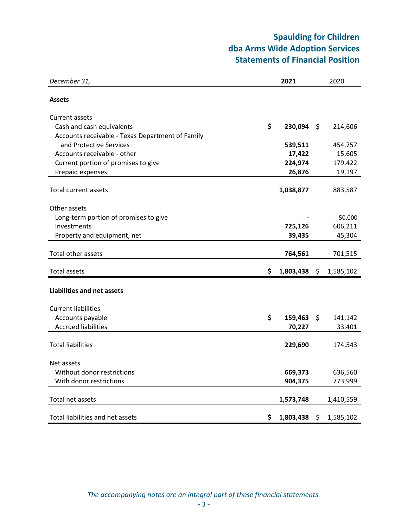### **Spaulding for Children dba Arms Wide Adoption Services Statements of Financial Position**

| December 31,                                                       | 2021               | 2020               |
|--------------------------------------------------------------------|--------------------|--------------------|
| <b>Assets</b>                                                      |                    |                    |
| <b>Current assets</b>                                              |                    |                    |
| Cash and cash equivalents                                          | \$<br>230,094      | \$<br>214,606      |
| Accounts receivable - Texas Department of Family                   |                    |                    |
| and Protective Services                                            | 539,511            | 454,757            |
| Accounts receivable - other<br>Current portion of promises to give | 17,422<br>224,974  | 15,605<br>179,422  |
| Prepaid expenses                                                   | 26,876             | 19,197             |
|                                                                    |                    |                    |
| <b>Total current assets</b>                                        | 1,038,877          | 883,587            |
|                                                                    |                    |                    |
| Other assets                                                       |                    |                    |
| Long-term portion of promises to give                              |                    | 50,000             |
| Investments                                                        | 725,126<br>39,435  | 606,211<br>45,304  |
| Property and equipment, net                                        |                    |                    |
| Total other assets                                                 | 764,561            | 701,515            |
| <b>Total assets</b>                                                | \$<br>1,803,438    | \$<br>1,585,102    |
|                                                                    |                    |                    |
| <b>Liabilities and net assets</b>                                  |                    |                    |
| <b>Current liabilities</b>                                         |                    |                    |
| Accounts payable                                                   | \$<br>159,463      | \$<br>141,142      |
| <b>Accrued liabilities</b>                                         | 70,227             | 33,401             |
|                                                                    |                    |                    |
| <b>Total liabilities</b>                                           | 229,690            | 174,543            |
|                                                                    |                    |                    |
| Net assets<br>Without donor restrictions                           |                    |                    |
| With donor restrictions                                            | 669,373<br>904,375 | 636,560<br>773,999 |
|                                                                    |                    |                    |
| Total net assets                                                   | 1,573,748          | 1,410,559          |
|                                                                    |                    |                    |
| Total liabilities and net assets                                   | \$<br>1,803,438    | \$<br>1,585,102    |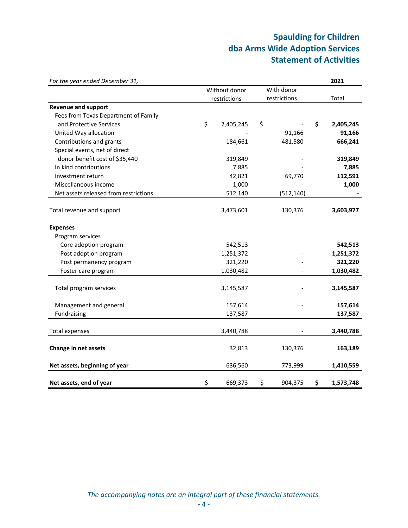## **Spaulding for Children dba Arms Wide Adoption Services Statement of Activities**

| For the year ended December 31,       |                 |               |    | 2021      |
|---------------------------------------|-----------------|---------------|----|-----------|
|                                       | Without donor   | With donor    |    |           |
|                                       | restrictions    | restrictions  |    | Total     |
| <b>Revenue and support</b>            |                 |               |    |           |
| Fees from Texas Department of Family  |                 |               |    |           |
| and Protective Services               | \$<br>2,405,245 | \$            | \$ | 2,405,245 |
| United Way allocation                 |                 | 91,166        |    | 91,166    |
| Contributions and grants              | 184,661         | 481,580       |    | 666,241   |
| Special events, net of direct         |                 |               |    |           |
| donor benefit cost of \$35,440        | 319,849         |               |    | 319,849   |
| In kind contributions                 | 7,885           |               |    | 7,885     |
| Investment return                     | 42,821          | 69,770        |    | 112,591   |
| Miscellaneous income                  | 1,000           |               |    | 1,000     |
| Net assets released from restrictions | 512,140         | (512, 140)    |    |           |
|                                       |                 |               |    |           |
| Total revenue and support             | 3,473,601       | 130,376       |    | 3,603,977 |
| <b>Expenses</b>                       |                 |               |    |           |
| Program services                      |                 |               |    |           |
| Core adoption program                 | 542,513         |               |    | 542,513   |
| Post adoption program                 | 1,251,372       |               |    | 1,251,372 |
| Post permanency program               | 321,220         |               |    | 321,220   |
| Foster care program                   | 1,030,482       |               |    | 1,030,482 |
|                                       |                 |               |    |           |
| Total program services                | 3,145,587       |               |    | 3,145,587 |
| Management and general                | 157,614         |               |    | 157,614   |
| Fundraising                           | 137,587         |               |    | 137,587   |
|                                       |                 |               |    |           |
| <b>Total expenses</b>                 | 3,440,788       |               |    | 3,440,788 |
| Change in net assets                  | 32,813          | 130,376       |    | 163,189   |
| Net assets, beginning of year         | 636,560         | 773,999       |    | 1,410,559 |
| Net assets, end of year               | \$<br>669,373   | \$<br>904,375 | \$ | 1,573,748 |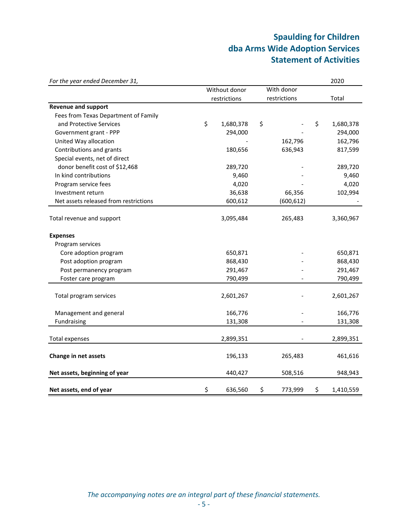## **Spaulding for Children dba Arms Wide Adoption Services Statement of Activities**

| For the year ended December 31,       |                 |               | 2020            |
|---------------------------------------|-----------------|---------------|-----------------|
|                                       | Without donor   | With donor    |                 |
|                                       | restrictions    | restrictions  | Total           |
| <b>Revenue and support</b>            |                 |               |                 |
| Fees from Texas Department of Family  |                 |               |                 |
| and Protective Services               | \$<br>1,680,378 | \$            | \$<br>1,680,378 |
| Government grant - PPP                | 294,000         |               | 294,000         |
| United Way allocation                 |                 | 162,796       | 162,796         |
| Contributions and grants              | 180,656         | 636,943       | 817,599         |
| Special events, net of direct         |                 |               |                 |
| donor benefit cost of \$12,468        | 289,720         |               | 289,720         |
| In kind contributions                 | 9,460           |               | 9,460           |
| Program service fees                  | 4,020           |               | 4,020           |
| Investment return                     | 36,638          | 66,356        | 102,994         |
| Net assets released from restrictions | 600,612         | (600, 612)    |                 |
| Total revenue and support             | 3,095,484       | 265,483       | 3,360,967       |
|                                       |                 |               |                 |
| <b>Expenses</b>                       |                 |               |                 |
| Program services                      |                 |               |                 |
| Core adoption program                 | 650,871         |               | 650,871         |
| Post adoption program                 | 868,430         |               | 868,430         |
| Post permanency program               | 291,467         |               | 291,467         |
| Foster care program                   | 790,499         |               | 790,499         |
|                                       |                 |               |                 |
| Total program services                | 2,601,267       |               | 2,601,267       |
| Management and general                | 166,776         |               | 166,776         |
| Fundraising                           | 131,308         |               | 131,308         |
|                                       |                 |               |                 |
| <b>Total expenses</b>                 | 2,899,351       |               | 2,899,351       |
| Change in net assets                  | 196,133         | 265,483       | 461,616         |
| Net assets, beginning of year         | 440,427         | 508,516       | 948,943         |
| Net assets, end of year               | \$<br>636,560   | \$<br>773,999 | \$<br>1,410,559 |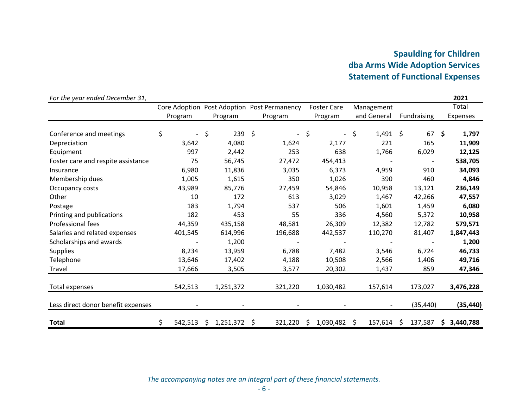### **Spaulding for Children dba Arms Wide Adoption Services Statement of Functional Expenses**

| For the year ended December 31,    |                                |                 |                                             |                                |                  |                          | 2021            |
|------------------------------------|--------------------------------|-----------------|---------------------------------------------|--------------------------------|------------------|--------------------------|-----------------|
|                                    |                                |                 | Core Adoption Post Adoption Post Permanency | <b>Foster Care</b>             | Management       |                          | Total           |
|                                    | Program                        | Program         | Program                                     | Program                        | and General      | Fundraising              | <b>Expenses</b> |
| Conference and meetings            | \$<br>$\overline{\phantom{a}}$ | \$<br>239       | \$<br>$\overline{\phantom{0}}$              | \$<br>$\overline{\phantom{0}}$ | \$<br>$1,491$ \$ | 67                       | \$<br>1,797     |
| Depreciation                       | 3,642                          | 4,080           | 1,624                                       | 2,177                          | 221              | 165                      | 11,909          |
| Equipment                          | 997                            | 2,442           | 253                                         | 638                            | 1,766            | 6,029                    | 12,125          |
| Foster care and respite assistance | 75                             | 56,745          | 27,472                                      | 454,413                        |                  | $\overline{\phantom{a}}$ | 538,705         |
| Insurance                          | 6,980                          | 11,836          | 3,035                                       | 6,373                          | 4,959            | 910                      | 34,093          |
| Membership dues                    | 1,005                          | 1,615           | 350                                         | 1,026                          | 390              | 460                      | 4,846           |
| Occupancy costs                    | 43,989                         | 85,776          | 27,459                                      | 54,846                         | 10,958           | 13,121                   | 236,149         |
| Other                              | 10                             | 172             | 613                                         | 3,029                          | 1,467            | 42,266                   | 47,557          |
| Postage                            | 183                            | 1,794           | 537                                         | 506                            | 1,601            | 1,459                    | 6,080           |
| Printing and publications          | 182                            | 453             | 55                                          | 336                            | 4,560            | 5,372                    | 10,958          |
| Professional fees                  | 44,359                         | 435,158         | 48,581                                      | 26,309                         | 12,382           | 12,782                   | 579,571         |
| Salaries and related expenses      | 401,545                        | 614,996         | 196,688                                     | 442,537                        | 110,270          | 81,407                   | 1,847,443       |
| Scholarships and awards            |                                | 1,200           |                                             |                                |                  |                          | 1,200           |
| <b>Supplies</b>                    | 8,234                          | 13,959          | 6,788                                       | 7,482                          | 3,546            | 6,724                    | 46,733          |
| Telephone                          | 13,646                         | 17,402          | 4,188                                       | 10,508                         | 2,566            | 1,406                    | 49,716          |
| Travel                             | 17,666                         | 3,505           | 3,577                                       | 20,302                         | 1,437            | 859                      | 47,346          |
| Total expenses                     | 542,513                        | 1,251,372       | 321,220                                     | 1,030,482                      | 157,614          | 173,027                  | 3,476,228       |
| Less direct donor benefit expenses |                                |                 |                                             |                                |                  | (35, 440)                | (35, 440)       |
| <b>Total</b>                       | \$<br>542,513                  | \$<br>1,251,372 | 321,220<br>\$                               | 1,030,482<br>\$                | 157,614<br>\$    | 137,587<br>-Ś            | 3,440,788       |

#### *The accompanying notes are an integral part of these financial statements.*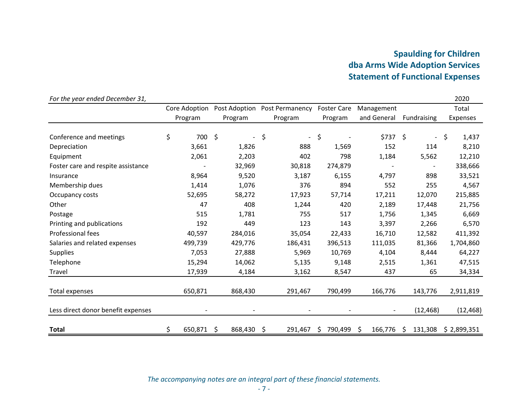### **Spaulding for Children dba Arms Wide Adoption Services Statement of Functional Expenses**

| For the year ended December 31,    |                  |                    |                |                                             |    |                    |             |            |             |                          |          | 2020        |
|------------------------------------|------------------|--------------------|----------------|---------------------------------------------|----|--------------------|-------------|------------|-------------|--------------------------|----------|-------------|
|                                    |                  |                    |                | Core Adoption Post Adoption Post Permanency |    | <b>Foster Care</b> |             | Management |             |                          |          | Total       |
|                                    | Program          |                    | Program        | Program                                     |    | Program            | and General |            | Fundraising |                          | Expenses |             |
| Conference and meetings            | \$<br>700        | $\ddot{\varsigma}$ | $\blacksquare$ | \$<br>$\overline{\phantom{a}}$              | \$ |                    |             | \$737 \$   |             | $\sim$                   | \$       | 1,437       |
| Depreciation                       | 3,661            |                    | 1,826          | 888                                         |    | 1,569              |             | 152        |             | 114                      |          | 8,210       |
| Equipment                          | 2,061            |                    | 2,203          | 402                                         |    | 798                |             | 1,184      |             | 5,562                    |          | 12,210      |
| Foster care and respite assistance |                  |                    | 32,969         | 30,818                                      |    | 274,879            |             |            |             | $\overline{\phantom{a}}$ |          | 338,666     |
| Insurance                          | 8,964            |                    | 9,520          | 3,187                                       |    | 6,155              |             | 4,797      |             | 898                      |          | 33,521      |
| Membership dues                    | 1,414            |                    | 1,076          | 376                                         |    | 894                |             | 552        |             | 255                      |          | 4,567       |
| Occupancy costs                    | 52,695           |                    | 58,272         | 17,923                                      |    | 57,714             |             | 17,211     |             | 12,070                   |          | 215,885     |
| Other                              | 47               |                    | 408            | 1,244                                       |    | 420                |             | 2,189      |             | 17,448                   |          | 21,756      |
| Postage                            | 515              |                    | 1,781          | 755                                         |    | 517                |             | 1,756      |             | 1,345                    |          | 6,669       |
| Printing and publications          | 192              |                    | 449            | 123                                         |    | 143                |             | 3,397      |             | 2,266                    |          | 6,570       |
| Professional fees                  | 40,597           |                    | 284,016        | 35,054                                      |    | 22,433             |             | 16,710     |             | 12,582                   |          | 411,392     |
| Salaries and related expenses      | 499,739          |                    | 429,776        | 186,431                                     |    | 396,513            |             | 111,035    |             | 81,366                   |          | 1,704,860   |
| <b>Supplies</b>                    | 7,053            |                    | 27,888         | 5,969                                       |    | 10,769             |             | 4,104      |             | 8,444                    |          | 64,227      |
| Telephone                          | 15,294           |                    | 14,062         | 5,135                                       |    | 9,148              |             | 2,515      |             | 1,361                    |          | 47,515      |
| Travel                             | 17,939           |                    | 4,184          | 3,162                                       |    | 8,547              |             | 437        |             | 65                       |          | 34,334      |
| Total expenses                     | 650,871          |                    | 868,430        | 291,467                                     |    | 790,499            |             | 166,776    |             | 143,776                  |          | 2,911,819   |
| Less direct donor benefit expenses |                  |                    |                |                                             |    |                    |             |            |             | (12, 468)                |          | (12, 468)   |
| <b>Total</b>                       | \$<br>650,871 \$ |                    | 868,430        | \$<br>291,467                               | S  | 790,499            | S           | 166,776    | Ŝ           | 131,308                  |          | \$2,899,351 |

*The accompanying notes are an integral part of these financial statements.*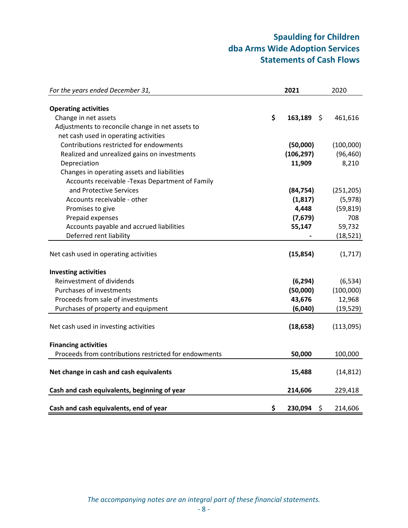### **Spaulding for Children dba Arms Wide Adoption Services Statements of Cash Flows**

| For the years ended December 31,                      | 2021          | 2020          |
|-------------------------------------------------------|---------------|---------------|
|                                                       |               |               |
| <b>Operating activities</b>                           |               |               |
| Change in net assets                                  | \$<br>163,189 | \$<br>461,616 |
| Adjustments to reconcile change in net assets to      |               |               |
| net cash used in operating activities                 |               |               |
| Contributions restricted for endowments               | (50,000)      | (100,000)     |
| Realized and unrealized gains on investments          | (106, 297)    | (96, 460)     |
| Depreciation                                          | 11,909        | 8,210         |
| Changes in operating assets and liabilities           |               |               |
| Accounts receivable - Texas Department of Family      |               |               |
| and Protective Services                               | (84, 754)     | (251, 205)    |
| Accounts receivable - other                           | (1, 817)      | (5,978)       |
| Promises to give                                      | 4,448         | (59, 819)     |
| Prepaid expenses                                      | (7,679)       | 708           |
| Accounts payable and accrued liabilities              | 55,147        | 59,732        |
| Deferred rent liability                               |               | (18, 521)     |
|                                                       |               |               |
| Net cash used in operating activities                 | (15, 854)     | (1,717)       |
| <b>Investing activities</b>                           |               |               |
| Reinvestment of dividends                             | (6, 294)      | (6, 534)      |
| Purchases of investments                              | (50,000)      | (100,000)     |
| Proceeds from sale of investments                     | 43,676        | 12,968        |
| Purchases of property and equipment                   | (6,040)       | (19, 529)     |
|                                                       |               |               |
| Net cash used in investing activities                 | (18, 658)     | (113,095)     |
| <b>Financing activities</b>                           |               |               |
| Proceeds from contributions restricted for endowments | 50,000        | 100,000       |
|                                                       |               |               |
| Net change in cash and cash equivalents               | 15,488        | (14, 812)     |
| Cash and cash equivalents, beginning of year          | 214,606       | 229,418       |
|                                                       |               |               |
| Cash and cash equivalents, end of year                | \$<br>230,094 | \$<br>214,606 |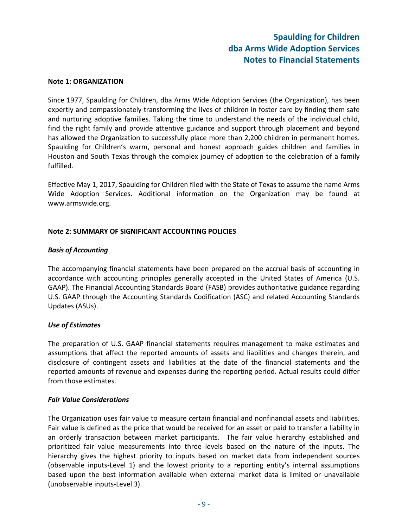#### **Note 1: ORGANIZATION**

Since 1977, Spaulding for Children, dba Arms Wide Adoption Services (the Organization), has been expertly and compassionately transforming the lives of children in foster care by finding them safe and nurturing adoptive families. Taking the time to understand the needs of the individual child, find the right family and provide attentive guidance and support through placement and beyond has allowed the Organization to successfully place more than 2,200 children in permanent homes. Spaulding for Children's warm, personal and honest approach guides children and families in Houston and South Texas through the complex journey of adoption to the celebration of a family fulfilled.

Effective May 1, 2017, Spaulding for Children filed with the State of Texas to assume the name Arms Wide Adoption Services. Additional information on the Organization may be found at www.armswide.org.

#### **Note 2: SUMMARY OF SIGNIFICANT ACCOUNTING POLICIES**

#### *Basis of Accounting*

The accompanying financial statements have been prepared on the accrual basis of accounting in accordance with accounting principles generally accepted in the United States of America (U.S. GAAP). The Financial Accounting Standards Board (FASB) provides authoritative guidance regarding U.S. GAAP through the Accounting Standards Codification (ASC) and related Accounting Standards Updates (ASUs).

#### *Use of Estimates*

The preparation of U.S. GAAP financial statements requires management to make estimates and assumptions that affect the reported amounts of assets and liabilities and changes therein, and disclosure of contingent assets and liabilities at the date of the financial statements and the reported amounts of revenue and expenses during the reporting period. Actual results could differ from those estimates.

#### *Fair Value Considerations*

The Organization uses fair value to measure certain financial and nonfinancial assets and liabilities. Fair value is defined as the price that would be received for an asset or paid to transfer a liability in an orderly transaction between market participants. The fair value hierarchy established and prioritized fair value measurements into three levels based on the nature of the inputs. The hierarchy gives the highest priority to inputs based on market data from independent sources (observable inputs‐Level 1) and the lowest priority to a reporting entity's internal assumptions based upon the best information available when external market data is limited or unavailable (unobservable inputs‐Level 3).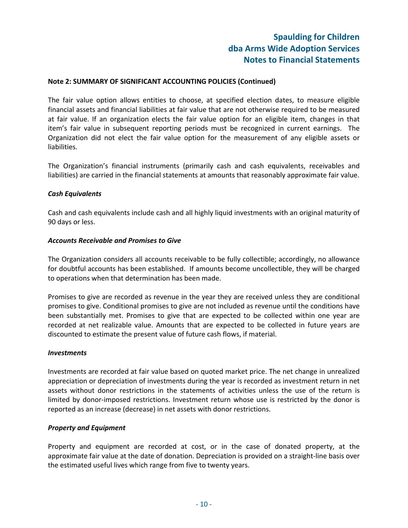#### **Note 2: SUMMARY OF SIGNIFICANT ACCOUNTING POLICIES (Continued)**

The fair value option allows entities to choose, at specified election dates, to measure eligible financial assets and financial liabilities at fair value that are not otherwise required to be measured at fair value. If an organization elects the fair value option for an eligible item, changes in that item's fair value in subsequent reporting periods must be recognized in current earnings. The Organization did not elect the fair value option for the measurement of any eligible assets or liabilities.

The Organization's financial instruments (primarily cash and cash equivalents, receivables and liabilities) are carried in the financial statements at amounts that reasonably approximate fair value.

#### *Cash Equivalents*

Cash and cash equivalents include cash and all highly liquid investments with an original maturity of 90 days or less.

#### *Accounts Receivable and Promises to Give*

The Organization considers all accounts receivable to be fully collectible; accordingly, no allowance for doubtful accounts has been established. If amounts become uncollectible, they will be charged to operations when that determination has been made.

Promises to give are recorded as revenue in the year they are received unless they are conditional promises to give. Conditional promises to give are not included as revenue until the conditions have been substantially met. Promises to give that are expected to be collected within one year are recorded at net realizable value. Amounts that are expected to be collected in future years are discounted to estimate the present value of future cash flows, if material.

#### *Investments*

Investments are recorded at fair value based on quoted market price. The net change in unrealized appreciation or depreciation of investments during the year is recorded as investment return in net assets without donor restrictions in the statements of activities unless the use of the return is limited by donor-imposed restrictions. Investment return whose use is restricted by the donor is reported as an increase (decrease) in net assets with donor restrictions.

#### *Property and Equipment*

Property and equipment are recorded at cost, or in the case of donated property, at the approximate fair value at the date of donation. Depreciation is provided on a straight‐line basis over the estimated useful lives which range from five to twenty years.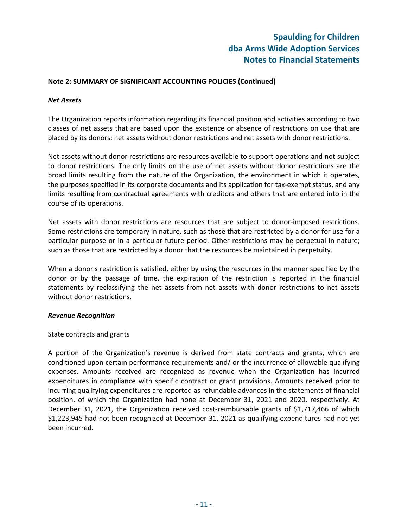#### **Note 2: SUMMARY OF SIGNIFICANT ACCOUNTING POLICIES (Continued)**

#### *Net Assets*

The Organization reports information regarding its financial position and activities according to two classes of net assets that are based upon the existence or absence of restrictions on use that are placed by its donors: net assets without donor restrictions and net assets with donor restrictions.

Net assets without donor restrictions are resources available to support operations and not subject to donor restrictions. The only limits on the use of net assets without donor restrictions are the broad limits resulting from the nature of the Organization, the environment in which it operates, the purposes specified in its corporate documents and its application for tax-exempt status, and any limits resulting from contractual agreements with creditors and others that are entered into in the course of its operations.

Net assets with donor restrictions are resources that are subject to donor-imposed restrictions. Some restrictions are temporary in nature, such as those that are restricted by a donor for use for a particular purpose or in a particular future period. Other restrictions may be perpetual in nature; such as those that are restricted by a donor that the resources be maintained in perpetuity.

When a donor's restriction is satisfied, either by using the resources in the manner specified by the donor or by the passage of time, the expiration of the restriction is reported in the financial statements by reclassifying the net assets from net assets with donor restrictions to net assets without donor restrictions.

#### *Revenue Recognition*

### State contracts and grants

A portion of the Organization's revenue is derived from state contracts and grants, which are conditioned upon certain performance requirements and/ or the incurrence of allowable qualifying expenses. Amounts received are recognized as revenue when the Organization has incurred expenditures in compliance with specific contract or grant provisions. Amounts received prior to incurring qualifying expenditures are reported as refundable advances in the statements of financial position, of which the Organization had none at December 31, 2021 and 2020, respectively. At December 31, 2021, the Organization received cost-reimbursable grants of \$1,717,466 of which \$1,223,945 had not been recognized at December 31, 2021 as qualifying expenditures had not yet been incurred.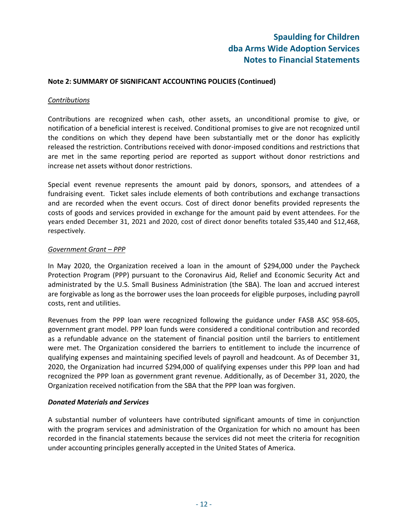#### **Note 2: SUMMARY OF SIGNIFICANT ACCOUNTING POLICIES (Continued)**

#### *Contributions*

Contributions are recognized when cash, other assets, an unconditional promise to give, or notification of a beneficial interest is received. Conditional promises to give are not recognized until the conditions on which they depend have been substantially met or the donor has explicitly released the restriction. Contributions received with donor‐imposed conditions and restrictions that are met in the same reporting period are reported as support without donor restrictions and increase net assets without donor restrictions.

Special event revenue represents the amount paid by donors, sponsors, and attendees of a fundraising event. Ticket sales include elements of both contributions and exchange transactions and are recorded when the event occurs. Cost of direct donor benefits provided represents the costs of goods and services provided in exchange for the amount paid by event attendees. For the years ended December 31, 2021 and 2020, cost of direct donor benefits totaled \$35,440 and \$12,468, respectively.

#### *Government Grant – PPP*

In May 2020, the Organization received a loan in the amount of \$294,000 under the Paycheck Protection Program (PPP) pursuant to the Coronavirus Aid, Relief and Economic Security Act and administrated by the U.S. Small Business Administration (the SBA). The loan and accrued interest are forgivable as long as the borrower uses the loan proceeds for eligible purposes, including payroll costs, rent and utilities.

Revenues from the PPP loan were recognized following the guidance under FASB ASC 958‐605, government grant model. PPP loan funds were considered a conditional contribution and recorded as a refundable advance on the statement of financial position until the barriers to entitlement were met. The Organization considered the barriers to entitlement to include the incurrence of qualifying expenses and maintaining specified levels of payroll and headcount. As of December 31, 2020, the Organization had incurred \$294,000 of qualifying expenses under this PPP loan and had recognized the PPP loan as government grant revenue. Additionally, as of December 31, 2020, the Organization received notification from the SBA that the PPP loan was forgiven.

#### *Donated Materials and Services*

A substantial number of volunteers have contributed significant amounts of time in conjunction with the program services and administration of the Organization for which no amount has been recorded in the financial statements because the services did not meet the criteria for recognition under accounting principles generally accepted in the United States of America.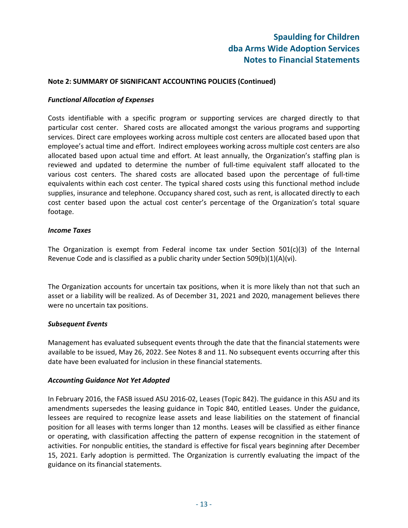#### **Note 2: SUMMARY OF SIGNIFICANT ACCOUNTING POLICIES (Continued)**

#### *Functional Allocation of Expenses*

Costs identifiable with a specific program or supporting services are charged directly to that particular cost center. Shared costs are allocated amongst the various programs and supporting services. Direct care employees working across multiple cost centers are allocated based upon that employee's actual time and effort. Indirect employees working across multiple cost centers are also allocated based upon actual time and effort. At least annually, the Organization's staffing plan is reviewed and updated to determine the number of full‐time equivalent staff allocated to the various cost centers. The shared costs are allocated based upon the percentage of full‐time equivalents within each cost center. The typical shared costs using this functional method include supplies, insurance and telephone. Occupancy shared cost, such as rent, is allocated directly to each cost center based upon the actual cost center's percentage of the Organization's total square footage.

#### *Income Taxes*

The Organization is exempt from Federal income tax under Section 501(c)(3) of the Internal Revenue Code and is classified as a public charity under Section  $509(b)(1)(A)(vi)$ .

The Organization accounts for uncertain tax positions, when it is more likely than not that such an asset or a liability will be realized. As of December 31, 2021 and 2020, management believes there were no uncertain tax positions.

#### *Subsequent Events*

Management has evaluated subsequent events through the date that the financial statements were available to be issued, May 26, 2022. See Notes 8 and 11. No subsequent events occurring after this date have been evaluated for inclusion in these financial statements.

#### *Accounting Guidance Not Yet Adopted*

In February 2016, the FASB issued ASU 2016‐02, Leases (Topic 842). The guidance in this ASU and its amendments supersedes the leasing guidance in Topic 840, entitled Leases. Under the guidance, lessees are required to recognize lease assets and lease liabilities on the statement of financial position for all leases with terms longer than 12 months. Leases will be classified as either finance or operating, with classification affecting the pattern of expense recognition in the statement of activities. For nonpublic entities, the standard is effective for fiscal years beginning after December 15, 2021. Early adoption is permitted. The Organization is currently evaluating the impact of the guidance on its financial statements.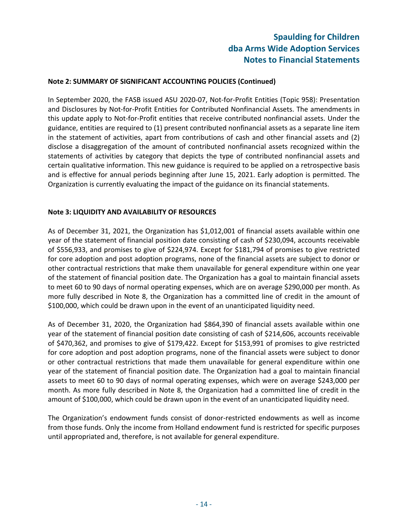#### **Note 2: SUMMARY OF SIGNIFICANT ACCOUNTING POLICIES (Continued)**

In September 2020, the FASB issued ASU 2020‐07, Not‐for‐Profit Entities (Topic 958): Presentation and Disclosures by Not‐for‐Profit Entities for Contributed Nonfinancial Assets. The amendments in this update apply to Not‐for‐Profit entities that receive contributed nonfinancial assets. Under the guidance, entities are required to (1) present contributed nonfinancial assets as a separate line item in the statement of activities, apart from contributions of cash and other financial assets and (2) disclose a disaggregation of the amount of contributed nonfinancial assets recognized within the statements of activities by category that depicts the type of contributed nonfinancial assets and certain qualitative information. This new guidance is required to be applied on a retrospective basis and is effective for annual periods beginning after June 15, 2021. Early adoption is permitted. The Organization is currently evaluating the impact of the guidance on its financial statements.

#### **Note 3: LIQUIDITY AND AVAILABILITY OF RESOURCES**

As of December 31, 2021, the Organization has \$1,012,001 of financial assets available within one year of the statement of financial position date consisting of cash of \$230,094, accounts receivable of \$556,933, and promises to give of \$224,974. Except for \$181,794 of promises to give restricted for core adoption and post adoption programs, none of the financial assets are subject to donor or other contractual restrictions that make them unavailable for general expenditure within one year of the statement of financial position date. The Organization has a goal to maintain financial assets to meet 60 to 90 days of normal operating expenses, which are on average \$290,000 per month. As more fully described in Note 8, the Organization has a committed line of credit in the amount of \$100,000, which could be drawn upon in the event of an unanticipated liquidity need.

As of December 31, 2020, the Organization had \$864,390 of financial assets available within one year of the statement of financial position date consisting of cash of \$214,606, accounts receivable of \$470,362, and promises to give of \$179,422. Except for \$153,991 of promises to give restricted for core adoption and post adoption programs, none of the financial assets were subject to donor or other contractual restrictions that made them unavailable for general expenditure within one year of the statement of financial position date. The Organization had a goal to maintain financial assets to meet 60 to 90 days of normal operating expenses, which were on average \$243,000 per month. As more fully described in Note 8, the Organization had a committed line of credit in the amount of \$100,000, which could be drawn upon in the event of an unanticipated liquidity need.

The Organization's endowment funds consist of donor‐restricted endowments as well as income from those funds. Only the income from Holland endowment fund is restricted for specific purposes until appropriated and, therefore, is not available for general expenditure.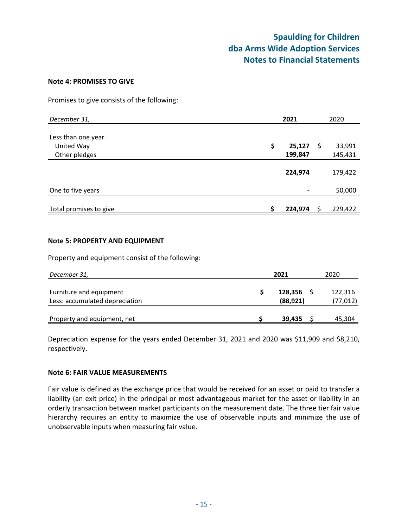#### **Note 4: PROMISES TO GIVE**

Promises to give consists of the following:

| December 31,           |    | 2021    |   | 2020    |  |  |
|------------------------|----|---------|---|---------|--|--|
|                        |    |         |   |         |  |  |
| Less than one year     |    |         |   |         |  |  |
| United Way             | \$ | 25,127  | S | 33,991  |  |  |
| Other pledges          |    | 199,847 |   | 145,431 |  |  |
|                        |    |         |   |         |  |  |
|                        |    | 224,974 |   | 179,422 |  |  |
|                        |    |         |   |         |  |  |
| One to five years      |    |         |   | 50,000  |  |  |
|                        |    |         |   |         |  |  |
| Total promises to give |    | 224,974 |   | 229,422 |  |  |

#### **Note 5: PROPERTY AND EQUIPMENT**

Property and equipment consist of the following:

| December 31,                                              | 2021                 | 2020                |  |  |  |
|-----------------------------------------------------------|----------------------|---------------------|--|--|--|
| Furniture and equipment<br>Less: accumulated depreciation | 128,356<br>(88, 921) | 122,316<br>(77,012) |  |  |  |
| Property and equipment, net                               | 39.435               | 45,304              |  |  |  |

Depreciation expense for the years ended December 31, 2021 and 2020 was \$11,909 and \$8,210, respectively.

#### **Note 6: FAIR VALUE MEASUREMENTS**

Fair value is defined as the exchange price that would be received for an asset or paid to transfer a liability (an exit price) in the principal or most advantageous market for the asset or liability in an orderly transaction between market participants on the measurement date. The three tier fair value hierarchy requires an entity to maximize the use of observable inputs and minimize the use of unobservable inputs when measuring fair value.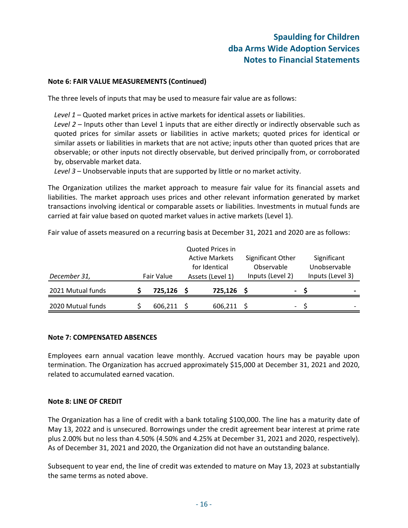#### **Note 6: FAIR VALUE MEASUREMENTS (Continued)**

The three levels of inputs that may be used to measure fair value are as follows:

*Level 1* – Quoted market prices in active markets for identical assets or liabilities.

*Level 2* – Inputs other than Level 1 inputs that are either directly or indirectly observable such as quoted prices for similar assets or liabilities in active markets; quoted prices for identical or similar assets or liabilities in markets that are not active; inputs other than quoted prices that are observable; or other inputs not directly observable, but derived principally from, or corroborated by, observable market data.

*Level 3* – Unobservable inputs that are supported by little or no market activity.

The Organization utilizes the market approach to measure fair value for its financial assets and liabilities. The market approach uses prices and other relevant information generated by market transactions involving identical or comparable assets or liabilities. Investments in mutual funds are carried at fair value based on quoted market values in active markets (Level 1).

Fair value of assets measured on a recurring basis at December 31, 2021 and 2020 are as follows:

| December 31,      | Fair Value | Quoted Prices in<br><b>Active Markets</b><br>for Identical<br>Assets (Level 1) |  | Significant Other<br>Observable<br>Inputs (Level 2) | Significant<br>Unobservable<br>Inputs (Level 3) |
|-------------------|------------|--------------------------------------------------------------------------------|--|-----------------------------------------------------|-------------------------------------------------|
| 2021 Mutual funds | 725,126 \$ | 725,126                                                                        |  | $\overline{\phantom{0}}$                            | $\overline{\phantom{0}}$                        |
| 2020 Mutual funds | 606,211    | 606,211                                                                        |  | $\overline{\phantom{0}}$                            | $\overline{\phantom{0}}$                        |

#### **Note 7: COMPENSATED ABSENCES**

Employees earn annual vacation leave monthly. Accrued vacation hours may be payable upon termination. The Organization has accrued approximately \$15,000 at December 31, 2021 and 2020, related to accumulated earned vacation.

#### **Note 8: LINE OF CREDIT**

The Organization has a line of credit with a bank totaling \$100,000. The line has a maturity date of May 13, 2022 and is unsecured. Borrowings under the credit agreement bear interest at prime rate plus 2.00% but no less than 4.50% (4.50% and 4.25% at December 31, 2021 and 2020, respectively). As of December 31, 2021 and 2020, the Organization did not have an outstanding balance.

Subsequent to year end, the line of credit was extended to mature on May 13, 2023 at substantially the same terms as noted above.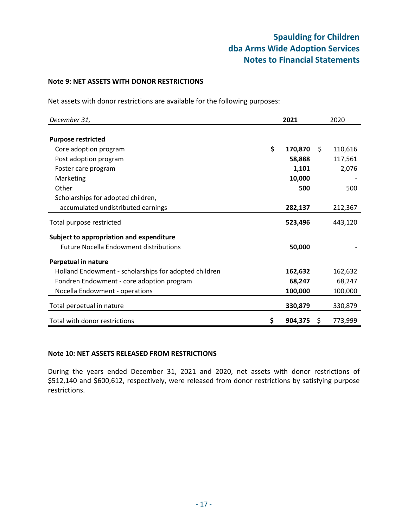#### **Note 9: NET ASSETS WITH DONOR RESTRICTIONS**

Net assets with donor restrictions are available for the following purposes:

| December 31,                                          | 2021          |    | 2020    |
|-------------------------------------------------------|---------------|----|---------|
|                                                       |               |    |         |
| <b>Purpose restricted</b>                             |               |    |         |
| Core adoption program                                 | \$<br>170,870 | S. | 110,616 |
| Post adoption program                                 | 58,888        |    | 117,561 |
| Foster care program                                   | 1,101         |    | 2,076   |
| Marketing                                             | 10,000        |    |         |
| Other                                                 | 500           |    | 500     |
| Scholarships for adopted children,                    |               |    |         |
| accumulated undistributed earnings                    | 282,137       |    | 212,367 |
| Total purpose restricted                              | 523,496       |    | 443,120 |
| Subject to appropriation and expenditure              |               |    |         |
| <b>Future Nocella Endowment distributions</b>         | 50,000        |    |         |
| Perpetual in nature                                   |               |    |         |
| Holland Endowment - scholarships for adopted children | 162,632       |    | 162,632 |
| Fondren Endowment - core adoption program             | 68,247        |    | 68,247  |
| Nocella Endowment - operations                        | 100,000       |    | 100,000 |
| Total perpetual in nature                             | 330,879       |    | 330,879 |
| Total with donor restrictions                         | \$<br>904,375 | Ş  | 773,999 |

#### **Note 10: NET ASSETS RELEASED FROM RESTRICTIONS**

During the years ended December 31, 2021 and 2020, net assets with donor restrictions of \$512,140 and \$600,612, respectively, were released from donor restrictions by satisfying purpose restrictions.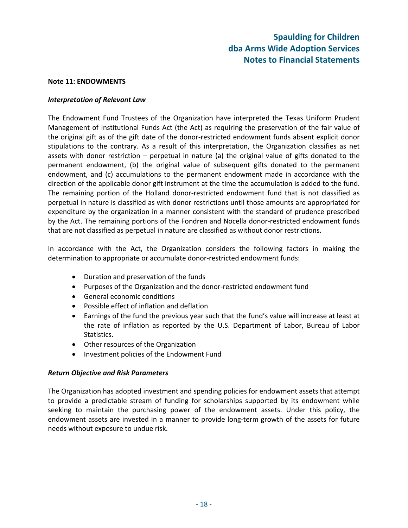#### **Note 11: ENDOWMENTS**

#### *Interpretation of Relevant Law*

The Endowment Fund Trustees of the Organization have interpreted the Texas Uniform Prudent Management of Institutional Funds Act (the Act) as requiring the preservation of the fair value of the original gift as of the gift date of the donor‐restricted endowment funds absent explicit donor stipulations to the contrary. As a result of this interpretation, the Organization classifies as net assets with donor restriction  $-$  perpetual in nature (a) the original value of gifts donated to the permanent endowment, (b) the original value of subsequent gifts donated to the permanent endowment, and (c) accumulations to the permanent endowment made in accordance with the direction of the applicable donor gift instrument at the time the accumulation is added to the fund. The remaining portion of the Holland donor-restricted endowment fund that is not classified as perpetual in nature is classified as with donor restrictions until those amounts are appropriated for expenditure by the organization in a manner consistent with the standard of prudence prescribed by the Act. The remaining portions of the Fondren and Nocella donor-restricted endowment funds that are not classified as perpetual in nature are classified as without donor restrictions.

In accordance with the Act, the Organization considers the following factors in making the determination to appropriate or accumulate donor-restricted endowment funds:

- Duration and preservation of the funds
- Purposes of the Organization and the donor-restricted endowment fund
- General economic conditions
- Possible effect of inflation and deflation
- Earnings of the fund the previous year such that the fund's value will increase at least at the rate of inflation as reported by the U.S. Department of Labor, Bureau of Labor Statistics.
- Other resources of the Organization
- Investment policies of the Endowment Fund

#### *Return Objective and Risk Parameters*

The Organization has adopted investment and spending policies for endowment assets that attempt to provide a predictable stream of funding for scholarships supported by its endowment while seeking to maintain the purchasing power of the endowment assets. Under this policy, the endowment assets are invested in a manner to provide long‐term growth of the assets for future needs without exposure to undue risk.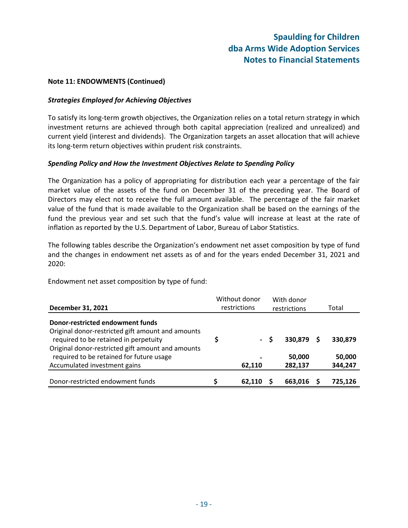#### **Note 11: ENDOWMENTS (Continued)**

#### *Strategies Employed for Achieving Objectives*

To satisfy its long‐term growth objectives, the Organization relies on a total return strategy in which investment returns are achieved through both capital appreciation (realized and unrealized) and current yield (interest and dividends). The Organization targets an asset allocation that will achieve its long‐term return objectives within prudent risk constraints.

#### *Spending Policy and How the Investment Objectives Relate to Spending Policy*

The Organization has a policy of appropriating for distribution each year a percentage of the fair market value of the assets of the fund on December 31 of the preceding year. The Board of Directors may elect not to receive the full amount available. The percentage of the fair market value of the fund that is made available to the Organization shall be based on the earnings of the fund the previous year and set such that the fund's value will increase at least at the rate of inflation as reported by the U.S. Department of Labor, Bureau of Labor Statistics.

The following tables describe the Organization's endowment net asset composition by type of fund and the changes in endowment net assets as of and for the years ended December 31, 2021 and 2020:

Endowment net asset composition by type of fund:

| December 31, 2021                                                                                                              |  | Without donor<br>restrictions |     | With donor<br>restrictions |   | Total             |  |  |
|--------------------------------------------------------------------------------------------------------------------------------|--|-------------------------------|-----|----------------------------|---|-------------------|--|--|
| Donor-restricted endowment funds<br>Original donor-restricted gift amount and amounts<br>required to be retained in perpetuity |  |                               | - S | 330.879                    | S | 330,879           |  |  |
| Original donor-restricted gift amount and amounts<br>required to be retained for future usage<br>Accumulated investment gains  |  | 62,110                        |     | 50,000<br>282,137          |   | 50,000<br>344,247 |  |  |
| Donor-restricted endowment funds                                                                                               |  | 62.110                        |     | 663,016                    |   | 725,126           |  |  |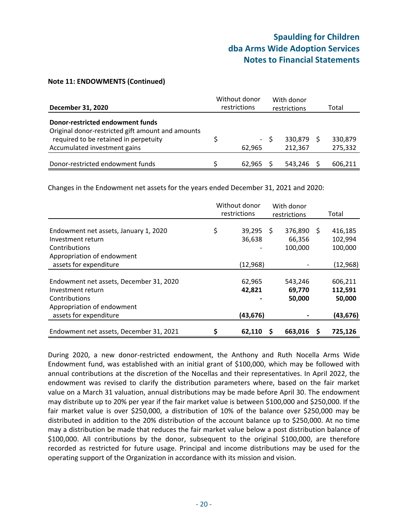#### **Note 11: ENDOWMENTS (Continued)**

| <b>December 31, 2020</b>                                                                                                                                              | Without donor<br>restrictions |        | With donor<br>restrictions |                      | Total |                    |
|-----------------------------------------------------------------------------------------------------------------------------------------------------------------------|-------------------------------|--------|----------------------------|----------------------|-------|--------------------|
| <b>Donor-restricted endowment funds</b><br>Original donor-restricted gift amount and amounts<br>required to be retained in perpetuity<br>Accumulated investment gains |                               | 62.965 | - S                        | 330.879 S<br>212,367 |       | 330,879<br>275,332 |
| Donor-restricted endowment funds                                                                                                                                      |                               | 62.965 |                            | 543,246              |       | 606,211            |

Changes in the Endowment net assets for the years ended December 31, 2021 and 2020:

|                                                                               | Without donor<br>restrictions |                  | With donor<br>restrictions |                              |   | Total                         |
|-------------------------------------------------------------------------------|-------------------------------|------------------|----------------------------|------------------------------|---|-------------------------------|
| Endowment net assets, January 1, 2020<br>Investment return<br>Contributions   | \$                            | 39,295<br>36,638 | S                          | 376,890<br>66,356<br>100,000 | S | 416,185<br>102,994<br>100,000 |
| Appropriation of endowment<br>assets for expenditure                          |                               | (12, 968)        |                            |                              |   | (12, 968)                     |
| Endowment net assets, December 31, 2020<br>Investment return<br>Contributions |                               | 62,965<br>42,821 |                            | 543.246<br>69,770<br>50,000  |   | 606,211<br>112,591<br>50,000  |
| Appropriation of endowment<br>assets for expenditure                          |                               | (43, 676)        |                            |                              |   | (43, 676)                     |
| Endowment net assets, December 31, 2021                                       | \$                            | 62,110           |                            | 663,016                      | S | 725,126                       |

During 2020, a new donor-restricted endowment, the Anthony and Ruth Nocella Arms Wide Endowment fund, was established with an initial grant of \$100,000, which may be followed with annual contributions at the discretion of the Nocellas and their representatives. In April 2022, the endowment was revised to clarify the distribution parameters where, based on the fair market value on a March 31 valuation, annual distributions may be made before April 30. The endowment may distribute up to 20% per year if the fair market value is between \$100,000 and \$250,000. If the fair market value is over \$250,000, a distribution of 10% of the balance over \$250,000 may be distributed in addition to the 20% distribution of the account balance up to \$250,000. At no time may a distribution be made that reduces the fair market value below a post distribution balance of \$100,000. All contributions by the donor, subsequent to the original \$100,000, are therefore recorded as restricted for future usage. Principal and income distributions may be used for the operating support of the Organization in accordance with its mission and vision.